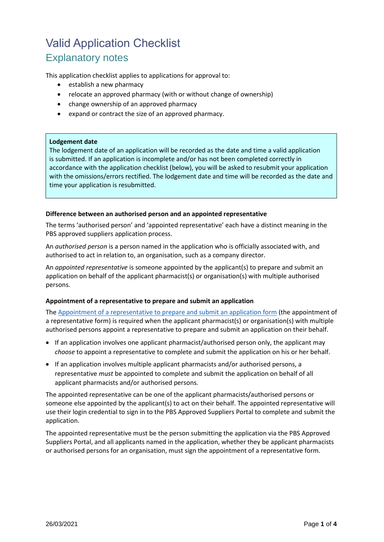# Valid Application Checklist Explanatory notes

This application checklist applies to applications for approval to:

- establish a new pharmacy
- relocate an approved pharmacy (with or without change of ownership)
- change ownership of an approved pharmacy
- expand or contract the size of an approved pharmacy.

#### **Lodgement date**

The lodgement date of an application will be recorded as the date and time a valid application is submitted. If an application is incomplete and/or has not been completed correctly in accordance with the application checklist (below), you will be asked to resubmit your application with the omissions/errors rectified. The lodgement date and time will be recorded as the date and time your application is resubmitted.

#### **Difference between an authorised person and an appointed representative**

The terms 'authorised person' and 'appointed representative' each have a distinct meaning in the PBS approved suppliers application process.

An *authorised person* is a person named in the application who is officially associated with, and authorised to act in relation to, an organisation, such as a company director.

An *appointed representative* is someone appointed by the applicant(s) to prepare and submit an application on behalf of the applicant pharmacist(s) or organisation(s) with multiple authorised persons.

# **Appointment of a representative to prepare and submit an application**

The [Appointment of a representative to prepare and submit an application form](https://www1.health.gov.au/internet/main/publishing.nsf/Content/pharmaceutical-benefits-scheme-approved-supplier-guides-and-forms) (the appointment of a representative form) is required when the applicant pharmacist(s) or organisation(s) with multiple authorised persons appoint a representative to prepare and submit an application on their behalf.

- If an application involves one applicant pharmacist/authorised person only, the applicant may *choose* to appoint a representative to complete and submit the application on his or her behalf.
- If an application involves multiple applicant pharmacists and/or authorised persons, a representative *must* be appointed to complete and submit the application on behalf of all applicant pharmacists and/or authorised persons.

The appointed representative can be one of the applicant pharmacists/authorised persons or someone else appointed by the applicant(s) to act on their behalf. The appointed representative will use their login credential to sign in to the PBS Approved Suppliers Portal to complete and submit the application.

The appointed representative must be the person submitting the application via the PBS Approved Suppliers Portal, and all applicants named in the application, whether they be applicant pharmacists or authorised persons for an organisation, must sign the appointment of a representative form.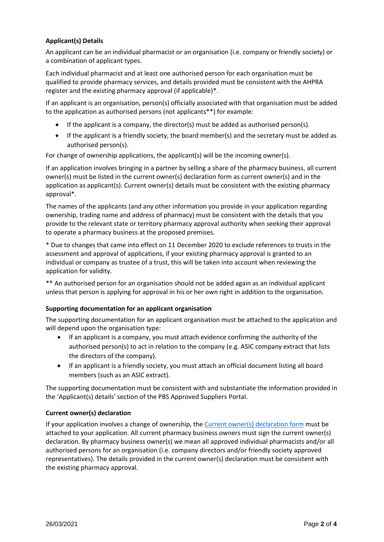# **Applicant(s) Details**

An applicant can be an individual pharmacist or an organisation (i.e. company or friendly society) or a combination of applicant types.

Each individual pharmacist and at least one authorised person for each organisation must be qualified to provide pharmacy services, and details provided must be consistent with the AHPRA register and the existing pharmacy approval (if applicable)\*.

If an applicant is an organisation, person(s) officially associated with that organisation must be added to the application as authorised persons (not applicants\*\*) for example:

- If the applicant is a company, the director(s) must be added as authorised person(s).
- If the applicant is a friendly society, the board member(s) and the secretary must be added as authorised person(s).

For change of ownership applications, the applicant(s) will be the incoming owner(s).

If an application involves bringing in a partner by selling a share of the pharmacy business, all current owner(s) must be listed in the current owner(s) declaration form as current owner(s) and in the application as applicant(s). Current owner(s) details must be consistent with the existing pharmacy approval\*.

The names of the applicants (and any other information you provide in your application regarding ownership, trading name and address of pharmacy) must be consistent with the details that you provide to the relevant state or territory pharmacy approval authority when seeking their approval to operate a pharmacy business at the proposed premises.

\* Due to changes that came into effect on 11 December 2020 to exclude references to trusts in the assessment and approval of applications, if your existing pharmacy approval is granted to an individual or company as trustee of a trust, this will be taken into account when reviewing the application for validity.

\*\* An authorised person for an organisation should not be added again as an individual applicant unless that person is applying for approval in his or her own right in addition to the organisation.

# **Supporting documentation for an applicant organisation**

The supporting documentation for an applicant organisation must be attached to the application and will depend upon the organisation type:

- If an applicant is a company, you must attach evidence confirming the authority of the authorised person(s) to act in relation to the company (e.g. ASIC company extract that lists the directors of the company).
- If an applicant is a friendly society, you must attach an official document listing all board members (such as an ASIC extract).

The supporting documentation must be consistent with and substantiate the information provided in the 'Applicant(s) details' section of the PBS Approved Suppliers Portal.

# **Current owner(s) declaration**

If your application involves a change of ownership, the [Current owner\(s\) declaration form](https://www1.health.gov.au/internet/main/publishing.nsf/Content/pharmaceutical-benefits-scheme-approved-supplier-guides-and-forms) must be attached to your application. All current pharmacy business owners must sign the current owner(s) declaration. By pharmacy business owner(s) we mean all approved individual pharmacists and/or all authorised persons for an organisation (i.e. company directors and/or friendly society approved representatives). The details provided in the current owner(s) declaration must be consistent with the existing pharmacy approval.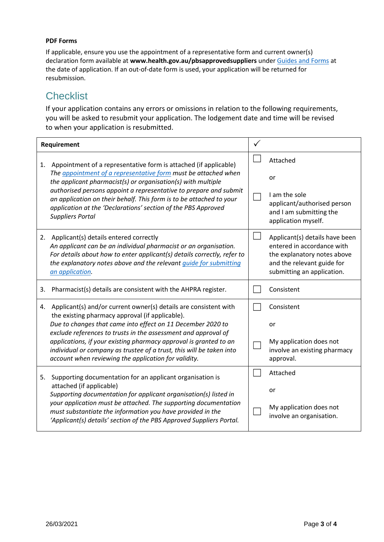# **PDF Forms**

If applicable, ensure you use the appointment of a representative form and current owner(s) declaration form available at **www.health.gov.au/pbsapprovedsuppliers** unde[r Guides and Forms](https://www1.health.gov.au/internet/main/publishing.nsf/Content/pharmaceutical-benefits-scheme-approved-supplier-guides-and-forms) at the date of application. If an out-of-date form is used, your application will be returned for resubmission.

# **Checklist**

If your application contains any errors or omissions in relation to the following requirements, you will be asked to resubmit your application. The lodgement date and time will be revised to when your application is resubmitted.

| Requirement |                                                                                                                                                                                                                                                                                                                                                                    |                                                                                                                                                         |
|-------------|--------------------------------------------------------------------------------------------------------------------------------------------------------------------------------------------------------------------------------------------------------------------------------------------------------------------------------------------------------------------|---------------------------------------------------------------------------------------------------------------------------------------------------------|
| 1.          | Appointment of a representative form is attached (if applicable)<br>The appointment of a representative form must be attached when<br>the applicant pharmacist(s) or organisation(s) with multiple                                                                                                                                                                 | Attached                                                                                                                                                |
|             |                                                                                                                                                                                                                                                                                                                                                                    | or                                                                                                                                                      |
|             | authorised persons appoint a representative to prepare and submit<br>an application on their behalf. This form is to be attached to your<br>application at the 'Declarations' section of the PBS Approved<br><b>Suppliers Portal</b>                                                                                                                               | I am the sole<br>applicant/authorised person<br>and I am submitting the<br>application myself.                                                          |
|             | 2. Applicant(s) details entered correctly<br>An applicant can be an individual pharmacist or an organisation.<br>For details about how to enter applicant(s) details correctly, refer to<br>the explanatory notes above and the relevant guide for submitting<br>an application.                                                                                   | Applicant(s) details have been<br>entered in accordance with<br>the explanatory notes above<br>and the relevant guide for<br>submitting an application. |
| 3.          | Pharmacist(s) details are consistent with the AHPRA register.                                                                                                                                                                                                                                                                                                      | Consistent                                                                                                                                              |
| 4.          | Applicant(s) and/or current owner(s) details are consistent with<br>the existing pharmacy approval (if applicable).                                                                                                                                                                                                                                                | Consistent                                                                                                                                              |
|             | Due to changes that came into effect on 11 December 2020 to<br>exclude references to trusts in the assessment and approval of                                                                                                                                                                                                                                      | or                                                                                                                                                      |
|             | applications, if your existing pharmacy approval is granted to an<br>individual or company as trustee of a trust, this will be taken into<br>account when reviewing the application for validity.                                                                                                                                                                  | My application does not<br>involve an existing pharmacy<br>approval.                                                                                    |
| 5.          | Supporting documentation for an applicant organisation is<br>attached (if applicable)<br>Supporting documentation for applicant organisation(s) listed in<br>your application must be attached. The supporting documentation<br>must substantiate the information you have provided in the<br>'Applicant(s) details' section of the PBS Approved Suppliers Portal. | Attached                                                                                                                                                |
|             |                                                                                                                                                                                                                                                                                                                                                                    | or                                                                                                                                                      |
|             |                                                                                                                                                                                                                                                                                                                                                                    | My application does not<br>involve an organisation.                                                                                                     |